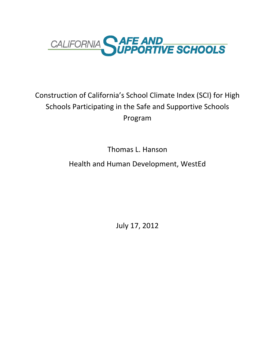

# Construction of California's School Climate Index (SCI) for High Schools Participating in the Safe and Supportive Schools Program

Thomas L. Hanson

Health and Human Development, WestEd

July 17, 2012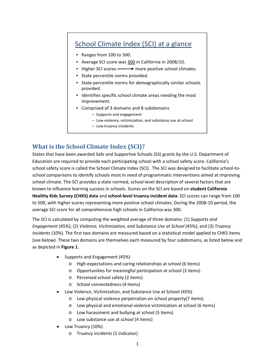## School Climate Index (SCI) at a glance

- Ranges from 100 to 500.
- Average SCI score was 300 in California in 2008/10.
- Higher SCI scores  $\longrightarrow$  more positive school climates.
- State percentile norms provided.
- State percentile norms for demographically similar schools provided.
- Identifies specific school climate areas needing the most improvement.
- Comprised of 3 domains and 8 subdomains
	- Supports and engagement
	- Low violence, victimization, and substance use at school
	- Low truancy incidents

## **What is the School Climate Index (SCI)?**

States that have been awarded Safe and Supportive Schools (S3) grants by the U.S. Department of Education are required to provide each participating school with a school safety score. California's school safety score is called the School Climate Index (SCI). The SCI was designed to facilitate school-toschool comparisons to identify schools most in need of programmatic interventions aimed at improving school climate. The SCI provides a state normed, school-level description of several factors that are known to influence learning success in schools. Scores on the SCI are based on **student California Healthy Kids Survey (CHKS) data** and **school‐level truancy incident data**. SCI scores can range from 100 to 500, with higher scores representing more positive school climates. During the 2008‐10 period, the average SCI score for all comprehensive high schools in California was 300.

The SCI is calculated by computing the weighted average of three domains: (1) *Supports and Engagement* (45%); (2) *Violence, Victimization, and Substance Use at School* (45%); and (3) *Truancy Incidents* (10%). The first two domains are measured based on a statistical model applied to CHKS items (see below). These two domains are themselves each measured by four subdomains, as listed below and as depicted in **Figure 1**.

- Supports and Engagement (45%)
	- o High expectations and caring relationships at school (6 items)
	- o Opportunities for meaningful participation at school (3 items)
	- o Perceived school safety (2 items)
	- o School connectedness (4 items)
- Low Violence, Victimization, and Substance Use at School (45%)
	- o Low physical violence perpetration on school property(7 items)
	- o Low physical and emotional violence victimization at school (6 items)
	- o Low harassment and bullying at school (5 items)
	- o Low substance use at school (4 items)
- Low Truancy (10%)
	- o Truancy incidents (1 indicator)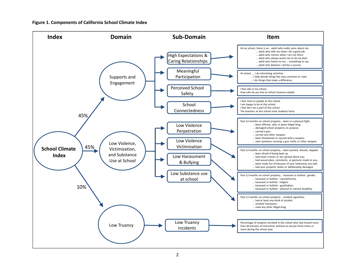**Figure 1. Components of California School Climate Index**

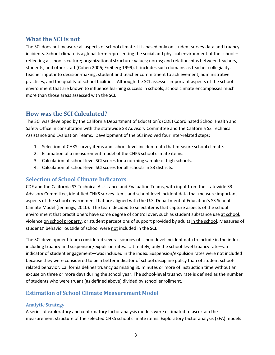## **What the SCI is not**

The SCI does not measure all aspects of school climate. It is based only on student survey data and truancy incidents. School climate is a global term representing the social and physical environment of the school – reflecting a school's culture; organizational structure; values; norms; and relationships between teachers, students, and other staff (Cohen 2006; Freiberg 1999). It includes such domains as teacher collegiality, teacher input into decision‐making, student and teacher commitment to achievement, administrative practices, and the quality of school facilities. Although the SCI assesses important aspects of the school environment that are known to influence learning success in schools, school climate encompasses much more than those areas assessed with the SCI.

## **How was the SCI Calculated?**

The SCI was developed by the California Department of Education's (CDE) Coordinated School Health and Safety Office in consultation with the statewide S3 Advisory Committee and the California S3 Technical Assistance and Evaluation Teams. Development of the SCI involved four inter‐related steps:

- 1. Selection of CHKS survey items and school-level incident data that measure school climate.
- 2. Estimation of a measurement model of the CHKS school climate items.
- 3. Calculation of school-level SCI scores for a norming sample of high schools.
- 4. Calculation of school-level SCI scores for all schools in S3 districts.

## **Selection of School Climate Indicators**

CDE and the California S3 Technical Assistance and Evaluation Teams, with input from the statewide S3 Advisory Committee, identified CHKS survey items and school‐level incident data that measure important aspects of the school environment that are aligned with the U.S. Department of Education's S3 School Climate Model (Jennings, 2010). The team decided to select items that capture aspects of the school environment that practitioners have some degree of control over, such as student substance use at school, violence on school property, or student perceptions of support provided by adults in the school. Measures of students' behavior outside of school were not included in the SCI.

The SCI development team considered several sources of school-level incident data to include in the index, including truancy and suspension/expulsion rates. Ultimately, only the school-level truancy rate—an indicator of student engagement—was included in the index. Suspension/expulsion rates were not included because they were considered to be a better indicator of school discipline policy than of student school‐ related behavior. California defines truancy as missing 30 minutes or more of instruction time without an excuse on three or more days during the school year. The school-level truancy rate is defined as the number of students who were truant (as defined above) divided by school enrollment.

## **Estimation of School Climate Measurement Model**

#### **Analytic Strategy**

A series of exploratory and confirmatory factor analysis models were estimated to ascertain the measurement structure of the selected CHKS school climate items. Exploratory factor analysis (EFA) models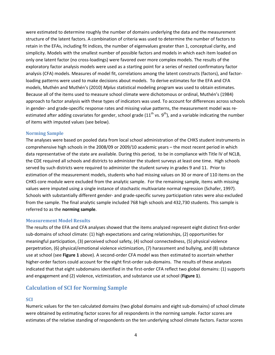were estimated to determine roughly the number of domains underlying the data and the measurement structure of the latent factors. A combination of criteria was used to determine the number of factors to retain in the EFAs, including fit indices, the number of eigenvalues greater than 1, conceptual clarity, and simplicity. Models with the smallest number of possible factors and models in which each item loaded on only one latent factor (no cross‐loadings) were favored over more complex models. The results of the exploratory factor analysis models were used as a starting point for a series of nested confirmatory factor analysis (CFA) models. Measures of model fit, correlations among the latent constructs (factors), and factor‐ loading patterns were used to make decisions about models. To derive estimates for the EFA and CFA models, Muthén and Muthén's (2010) *Mplus* statistical modeling program was used to obtain estimates. Because all of the items used to measure school climate were dichotomous or ordinal, Muthén's (1984) approach to factor analysis with these types of indicators was used. To account for differences across schools in gender- and grade-specific response rates and missing value patterns, the measurement model was reestimated after adding covariates for gender, school grade  $(11<sup>th</sup>$  vs. 9<sup>th</sup>), and a variable indicating the number of items with imputed values (see below).

#### **Norming Sample**

The analyses were based on pooled data from local school administration of the CHKS student instruments in comprehensive high schools in the 2008/09 or 2009/10 academic years – the most recent period in which data representative of the state are available. During this period, to be in compliance with Title IV of NCLB, the CDE required all schools and districts to administer the student surveys at least one time. High schools served by such districts were required to administer the student survey in grades 9 and 11. Prior to estimation of the measurement models, students who had missing values on 30 or more of 110 items on the CHKS core module were excluded from the analytic sample. For the remaining sample, items with missing values were imputed using a single instance of stochastic multivariate normal regression (Schafer, 1997). Schools with substantially different gender‐ and grade‐specific survey participation rates were also excluded from the sample. The final analytic sample included 768 high schools and 432,730 students. This sample is referred to as the **norming sample**.

#### **Measurement Model Results**

The results of the EFA and CFA analyses showed that the items analyzed represent eight distinct first-order sub‐domains of school climate: (1) high expectations and caring relationships, (2) opportunities for meaningful participation, (3) perceived school safety, (4) school connectedness, (5) physical violence perpetration, (6) physical/emotional violence victimization, (7) harassment and bullying, and (8) substance use at school (see **Figure 1** above). A second‐order CFA model was then estimated to ascertain whether higher-order factors could account for the eight first-order sub-domains. The results of these analyses indicated that that eight subdomains identified in the first-order CFA reflect two global domains: (1) supports and engagement and (2) violence, victimization, and substance use at school (**Figure 1**).

## **Calculation of SCI for Norming Sample**

#### **SCI**

Numeric values for the ten calculated domains (two global domains and eight sub‐domains) of school climate were obtained by estimating factor scores for all respondents in the norming sample. Factor scores are estimates of the relative standing of respondents on the ten underlying school climate factors. Factor scores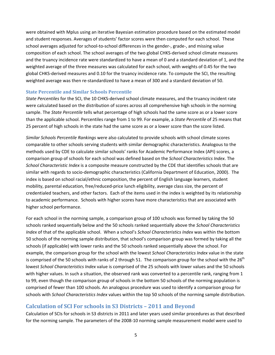were obtained with Mplus using an iterative Bayesian estimation procedure based on the estimated model and student responses. Averages of students' factor scores were then computed for each school. These school averages adjusted for school‐to‐school differences in the gender‐, grade‐, and missing value composition of each school. The school averages of the two global CHKS‐derived school climate measures and the truancy incidence rate were standardized to have a mean of 0 and a standard deviation of 1, and the weighted average of the three measures was calculated for each school, with weights of 0.45 for the two global CHKS‐derived measures and 0.10 for the truancy incidence rate. To compute the SCI, the resulting weighted average was then re‐standardized to have a mean of 300 and a standard deviation of 50.

#### **State Percentile and Similar Schools Percentile**

*State Percentiles* for the SCI, the 10 CHKS‐derived school climate measures, and the truancy incident rate were calculated based on the distribution of scores across all comprehensive high schools in the norming sample. The *State Percentile* tells what percentage of high schools had the same score as or a lower score than the applicable school. Percentiles range from 1 to 99. For example, a *State Percentile* of 25 means that 25 percent of high schools in the state had the same score as or a lower score than the score listed.

*Similar Schools Percentile Rankings* were also calculated to provide schools with school climate scores comparable to other schools serving students with similar demographic characteristics. Analogous to the methods used by CDE to calculate similar schools' ranks for Academic Performance Index (API) scores, a comparison group of schools for each school was defined based on the *School Characteristics Index*. The *School Characteristic Index* is a composite measure constructed by the CDE that identifies schools that are similar with regards to socio‐demographic characteristics (California Department of Education, 2000). The index is based on school racial/ethnic composition, the percent of English language learners, student mobility, parental education, free/reduced‐price lunch eligibility, average class size, the percent of credentialed teachers, and other factors. Each of the items used in the index is weighted by its relationship to academic performance. Schools with higher scores have more characteristics that are associated with higher school performance.

For each school in the norming sample, a comparison group of 100 schools was formed by taking the 50 schools ranked sequentially below and the 50 schools ranked sequentially above the *School Characteristics Index* of that of the applicable school. When a school's *School Characteristics Index* was within the bottom 50 schools of the norming sample distribution, that school's comparison group was formed by taking all the schools (if applicable) with lower ranks and the 50 schools ranked sequentially above the school. For example, the comparison group for the school with the lowest *School Characteristics Index* value in the state is comprised of the 50 schools with ranks of 2 through 51. The comparison group for the school with the  $26<sup>th</sup>$ lowest *School Characteristics Index* value is comprised of the 25 schools with lower values and the 50 schools with higher values. In such a situation, the observed rank was converted to a percentile rank, ranging from 1 to 99, even though the comparison group of schools in the bottom 50 schools of the norming population is comprised of fewer than 100 schools. An analogous procedure was used to identify a comparison group for schools with *School Characteristics Index* values within the top 50 schools of the norming sample distribution.

## **Calculation of SCI For schools in S3 Districts – 2011 and Beyond**

Calculation of SCIs for schools in S3 districts in 2011 and later years used similar procedures as that described for the norming sample. The parameters of the 2008‐10 norming sample measurement model were used to